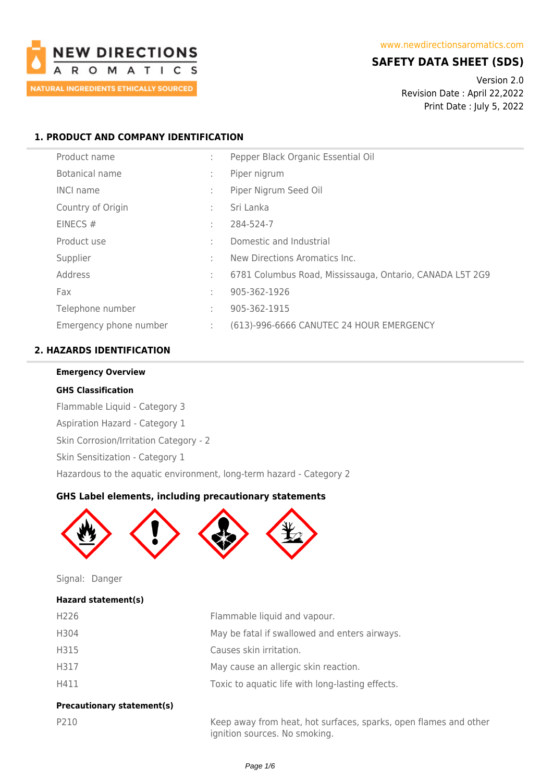

# **SAFETY DATA SHEET (SDS)**

Version 2.0 Revision Date : April 22,2022 Print Date : July 5, 2022

# **1. PRODUCT AND COMPANY IDENTIFICATION**

| Product name           | ٠.<br>$\mathbf{r}$ | Pepper Black Organic Essential Oil                       |
|------------------------|--------------------|----------------------------------------------------------|
| Botanical name         | ÷                  | Piper nigrum                                             |
| <b>INCI name</b>       | ÷                  | Piper Nigrum Seed Oil                                    |
| Country of Origin      | ÷                  | Sri Lanka                                                |
| EINECS#                | ÷                  | 284-524-7                                                |
| Product use            | ÷                  | Domestic and Industrial                                  |
| Supplier               | ٠.                 | New Directions Aromatics Inc.                            |
| Address                | ÷                  | 6781 Columbus Road, Mississauga, Ontario, CANADA L5T 2G9 |
| Fax                    | ٠                  | 905-362-1926                                             |
| Telephone number       | ÷                  | 905-362-1915                                             |
| Emergency phone number | ÷                  | (613)-996-6666 CANUTEC 24 HOUR EMERGENCY                 |

# **2. HAZARDS IDENTIFICATION**

#### **Emergency Overview**

#### **GHS Classification**

Flammable Liquid - Category 3 Aspiration Hazard - Category 1 Skin Corrosion/Irritation Category - 2 Skin Sensitization - Category 1

Hazardous to the aquatic environment, long-term hazard - Category 2

#### **GHS Label elements, including precautionary statements**



Signal: Danger

### **Hazard statement(s)**

| H <sub>226</sub> | Flammable liquid and vapour.                     |
|------------------|--------------------------------------------------|
| H304             | May be fatal if swallowed and enters airways.    |
| H315             | Causes skin irritation.                          |
| H317             | May cause an allergic skin reaction.             |
| H411             | Toxic to aquatic life with long-lasting effects. |
|                  |                                                  |

# **Precautionary statement(s)**

P210 Keep away from heat, hot surfaces, sparks, open flames and other ignition sources. No smoking.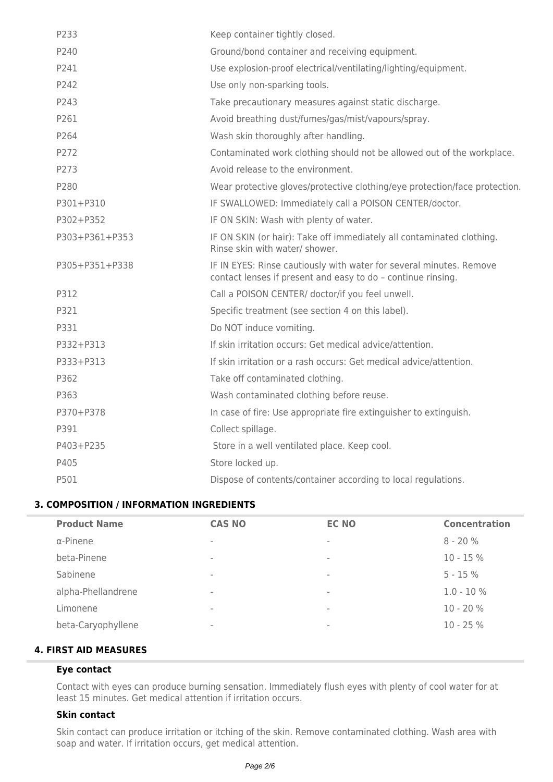| P233           | Keep container tightly closed.                                                                                                      |
|----------------|-------------------------------------------------------------------------------------------------------------------------------------|
| P240           | Ground/bond container and receiving equipment.                                                                                      |
| P241           | Use explosion-proof electrical/ventilating/lighting/equipment.                                                                      |
| P242           | Use only non-sparking tools.                                                                                                        |
| P243           | Take precautionary measures against static discharge.                                                                               |
| P261           | Avoid breathing dust/fumes/gas/mist/vapours/spray.                                                                                  |
| P264           | Wash skin thoroughly after handling.                                                                                                |
| P272           | Contaminated work clothing should not be allowed out of the workplace.                                                              |
| P273           | Avoid release to the environment.                                                                                                   |
| P280           | Wear protective gloves/protective clothing/eye protection/face protection.                                                          |
| P301+P310      | IF SWALLOWED: Immediately call a POISON CENTER/doctor.                                                                              |
| P302+P352      | IF ON SKIN: Wash with plenty of water.                                                                                              |
| P303+P361+P353 | IF ON SKIN (or hair): Take off immediately all contaminated clothing.<br>Rinse skin with water/ shower.                             |
| P305+P351+P338 | IF IN EYES: Rinse cautiously with water for several minutes. Remove<br>contact lenses if present and easy to do - continue rinsing. |
| P312           | Call a POISON CENTER/ doctor/if you feel unwell.                                                                                    |
| P321           | Specific treatment (see section 4 on this label).                                                                                   |
| P331           | Do NOT induce vomiting.                                                                                                             |
| P332+P313      | If skin irritation occurs: Get medical advice/attention.                                                                            |
| P333+P313      | If skin irritation or a rash occurs: Get medical advice/attention.                                                                  |
| P362           | Take off contaminated clothing.                                                                                                     |
| P363           | Wash contaminated clothing before reuse.                                                                                            |
| P370+P378      | In case of fire: Use appropriate fire extinguisher to extinguish.                                                                   |
| P391           | Collect spillage.                                                                                                                   |
| P403+P235      | Store in a well ventilated place. Keep cool.                                                                                        |
| P405           | Store locked up.                                                                                                                    |
| P501           | Dispose of contents/container according to local regulations.                                                                       |

## **3. COMPOSITION / INFORMATION INGREDIENTS**

| <b>Product Name</b> | <b>CAS NO</b>            | <b>EC NO</b> | <b>Concentration</b> |
|---------------------|--------------------------|--------------|----------------------|
| $\alpha$ -Pinene    | $\overline{\phantom{a}}$ | $\,$         | $8 - 20%$            |
| beta-Pinene         | $\,$                     | $\,$         | $10 - 15%$           |
| Sabinene            | $\,$                     | $\,$         | $5 - 15%$            |
| alpha-Phellandrene  | $\,$                     | $\,$         | $1.0 - 10 \%$        |
| Limonene            | $\,$                     | $\,$         | 10 - 20 %            |
| beta-Caryophyllene  | $\,$                     | $\,$         | $10 - 25%$           |
|                     |                          |              |                      |

# **4. FIRST AID MEASURES**

# **Eye contact**

Contact with eyes can produce burning sensation. Immediately flush eyes with plenty of cool water for at least 15 minutes. Get medical attention if irritation occurs.

### **Skin contact**

Skin contact can produce irritation or itching of the skin. Remove contaminated clothing. Wash area with soap and water. If irritation occurs, get medical attention.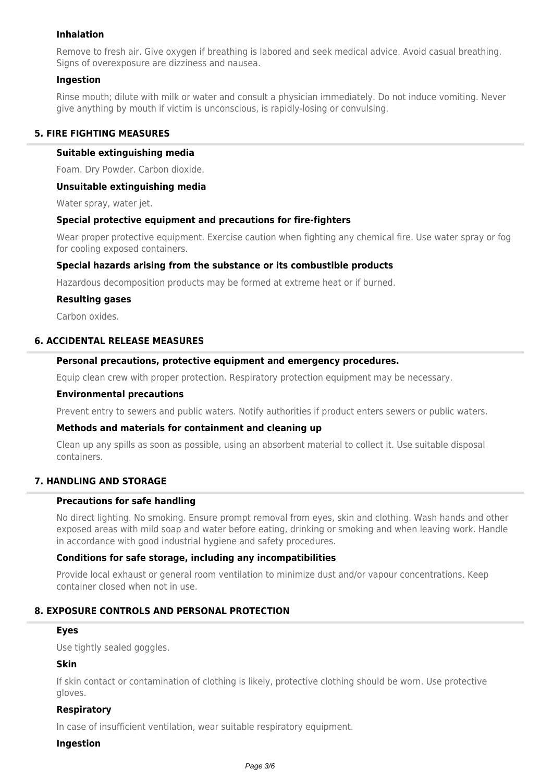## **Inhalation**

Remove to fresh air. Give oxygen if breathing is labored and seek medical advice. Avoid casual breathing. Signs of overexposure are dizziness and nausea.

#### **Ingestion**

Rinse mouth; dilute with milk or water and consult a physician immediately. Do not induce vomiting. Never give anything by mouth if victim is unconscious, is rapidly-losing or convulsing.

### **5. FIRE FIGHTING MEASURES**

#### **Suitable extinguishing media**

Foam. Dry Powder. Carbon dioxide.

#### **Unsuitable extinguishing media**

Water spray, water jet.

#### **Special protective equipment and precautions for fire-fighters**

Wear proper protective equipment. Exercise caution when fighting any chemical fire. Use water spray or fog for cooling exposed containers.

#### **Special hazards arising from the substance or its combustible products**

Hazardous decomposition products may be formed at extreme heat or if burned.

#### **Resulting gases**

Carbon oxides.

# **6. ACCIDENTAL RELEASE MEASURES**

### **Personal precautions, protective equipment and emergency procedures.**

Equip clean crew with proper protection. Respiratory protection equipment may be necessary.

#### **Environmental precautions**

Prevent entry to sewers and public waters. Notify authorities if product enters sewers or public waters.

#### **Methods and materials for containment and cleaning up**

Clean up any spills as soon as possible, using an absorbent material to collect it. Use suitable disposal containers.

### **7. HANDLING AND STORAGE**

#### **Precautions for safe handling**

No direct lighting. No smoking. Ensure prompt removal from eyes, skin and clothing. Wash hands and other exposed areas with mild soap and water before eating, drinking or smoking and when leaving work. Handle in accordance with good industrial hygiene and safety procedures.

#### **Conditions for safe storage, including any incompatibilities**

Provide local exhaust or general room ventilation to minimize dust and/or vapour concentrations. Keep container closed when not in use.

#### **8. EXPOSURE CONTROLS AND PERSONAL PROTECTION**

#### **Eyes**

Use tightly sealed goggles.

#### **Skin**

If skin contact or contamination of clothing is likely, protective clothing should be worn. Use protective gloves.

#### **Respiratory**

In case of insufficient ventilation, wear suitable respiratory equipment.

#### **Ingestion**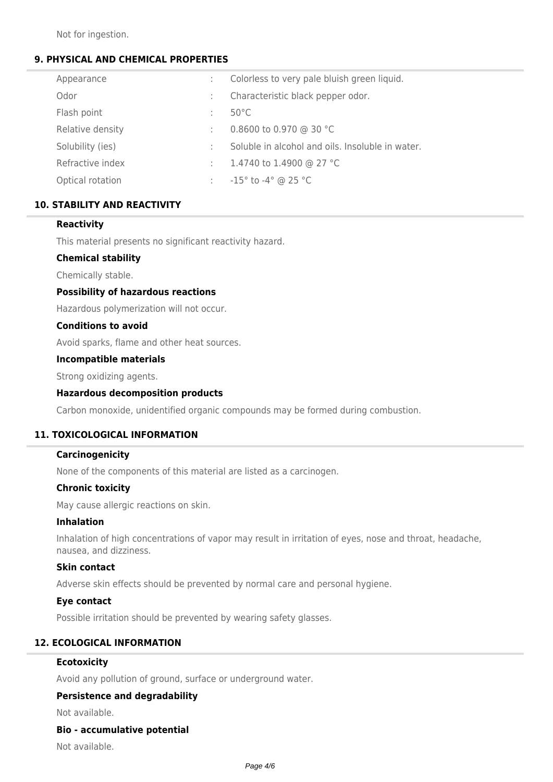Not for ingestion.

# **9. PHYSICAL AND CHEMICAL PROPERTIES**

| Appearance       | ÷ | Colorless to very pale bluish green liquid.      |
|------------------|---|--------------------------------------------------|
| Odor             | ÷ | Characteristic black pepper odor.                |
| Flash point      | ÷ | $50^{\circ}$ C                                   |
| Relative density | ÷ | 0.8600 to 0.970 @ 30 °C                          |
| Solubility (ies) | ÷ | Soluble in alcohol and oils. Insoluble in water. |
| Refractive index | ÷ | 1.4740 to 1.4900 @ 27 °C                         |
| Optical rotation | ÷ | $-15^{\circ}$ to $-4^{\circ}$ @ 25 °C            |

# **10. STABILITY AND REACTIVITY**

## **Reactivity**

This material presents no significant reactivity hazard.

# **Chemical stability**

Chemically stable.

## **Possibility of hazardous reactions**

Hazardous polymerization will not occur.

#### **Conditions to avoid**

Avoid sparks, flame and other heat sources.

#### **Incompatible materials**

Strong oxidizing agents.

### **Hazardous decomposition products**

Carbon monoxide, unidentified organic compounds may be formed during combustion.

# **11. TOXICOLOGICAL INFORMATION**

### **Carcinogenicity**

None of the components of this material are listed as a carcinogen.

#### **Chronic toxicity**

May cause allergic reactions on skin.

#### **Inhalation**

Inhalation of high concentrations of vapor may result in irritation of eyes, nose and throat, headache, nausea, and dizziness.

#### **Skin contact**

Adverse skin effects should be prevented by normal care and personal hygiene.

#### **Eye contact**

Possible irritation should be prevented by wearing safety glasses.

# **12. ECOLOGICAL INFORMATION**

#### **Ecotoxicity**

Avoid any pollution of ground, surface or underground water.

#### **Persistence and degradability**

Not available.

#### **Bio - accumulative potential**

Not available.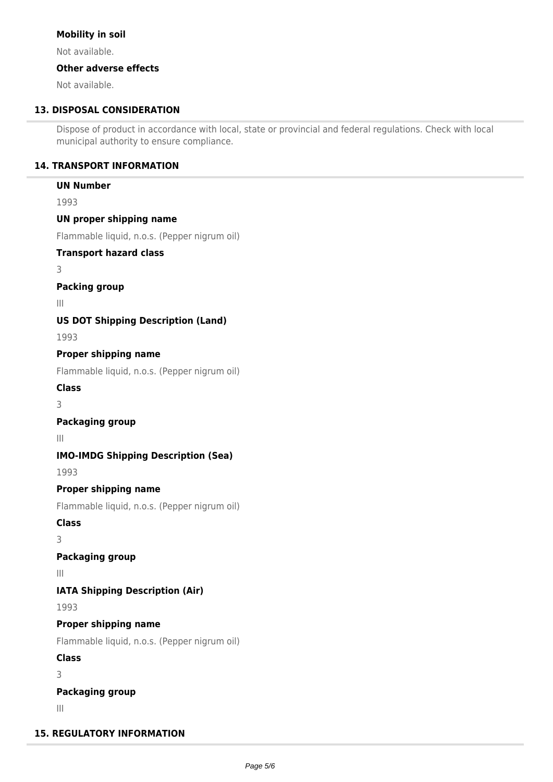## **Mobility in soil**

Not available.

# **Other adverse effects**

Not available.

# **13. DISPOSAL CONSIDERATION**

Dispose of product in accordance with local, state or provincial and federal regulations. Check with local municipal authority to ensure compliance.

# **14. TRANSPORT INFORMATION**

### **UN Number**

1993

## **UN proper shipping name**

Flammable liquid, n.o.s. (Pepper nigrum oil)

### **Transport hazard class**

3

# **Packing group**

III

# **US DOT Shipping Description (Land)**

1993

## **Proper shipping name**

Flammable liquid, n.o.s. (Pepper nigrum oil)

# **Class**

3

# **Packaging group**

III

# **IMO-IMDG Shipping Description (Sea)**

1993

# **Proper shipping name**

Flammable liquid, n.o.s. (Pepper nigrum oil)

## **Class**

3

# **Packaging group**

III

# **IATA Shipping Description (Air)**

1993

# **Proper shipping name**

Flammable liquid, n.o.s. (Pepper nigrum oil)

# **Class**

3

# **Packaging group**

III

# **15. REGULATORY INFORMATION**